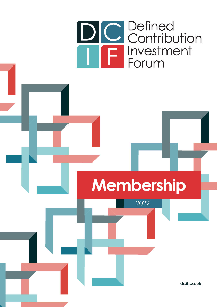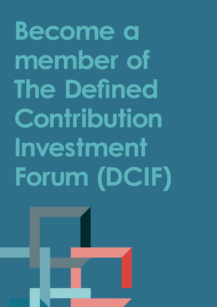**Become a member of The Defined Contribution Investment Forum (DCIF)**

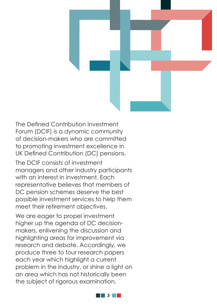

The Defined Contribution Investment Forum (DCIF) is a dynamic community of decision-makers who are committed to promoting investment excellence in UK Defined Contribution (DC) pensions.

The DCIF consists of investment managers and other industry participants with an interest in investment. Each representative believes that members of DC pension schemes deserve the best possible investment services to help them meet their retirement objectives.

We are eager to propel investment higher up the agenda of DC decisionmakers, enlivening the discussion and highlighting areas for improvement via research and debate. Accordingly, we produce three to four research papers each year which highlight a current problem in the industry, or shine a light on an area which has not historically been the subject of rigorous examination.

**3**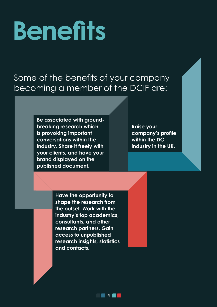# **Benefits**

#### Some of the benefits of your company becoming a member of the DCIF are:

**Be associated with groundbreaking research which is provoking important conversations within the industry. Share it freely with your clients, and have your brand displayed on the published document.** 

**Raise your company's profile within the DC industry in the UK.**

**Have the opportunity to shape the research from the outset. Work with the industry's top academics, consultants, and other research partners. Gain access to unpublished research insights, statistics and contacts.**

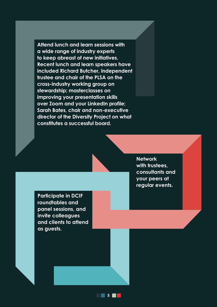**Attend lunch and learn sessions with a wide range of industry experts to keep abreast of new initiatives. Recent lunch and learn speakers have included Richard Butcher, independent trustee and chair of the PLSA on the cross-industry working group on stewardship; masterclasses on improving your presentation skills over Zoom and your LinkedIn profile; Sarah Bates, chair and non-executive director of the Diversity Project on what constitutes a successful board.**

> **Network with trustees, consultants and your peers at regular events.**

**Participate in DCIF roundtables and panel sessions, and invite colleagues and clients to attend as guests.**

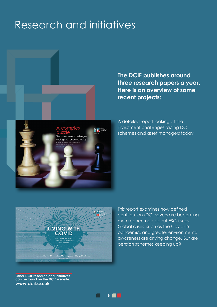### Research and initiatives



**The DCIF publishes around three research papers a year. Here is an overview of some recent projects:**

A detailed report looking at the investment challenges facing DC schemes and asset managers today

racking members views on responsible investment **A report for the DC Investment Forum, prepared by Ignition House SEPTEMBER 2021 LIVING WITH COVID** dcif.co.uk

This report examines how defined contribution (DC) savers are becoming more concerned about ESG issues. Global crises, such as the Covid-19 pandemic, and greater environmental awareness are driving change. But are pension schemes keeping up?

**Other DCIF research and initiatives can be found on the DCIF website: www.dcif.co.uk** 

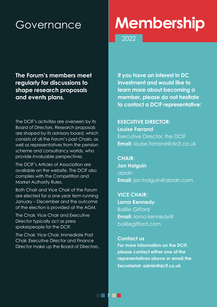## Governance **Membership**

2022

**The Forum's members meet regularly for discussions to shape research proposals and events plans.**

The DCIF's activities are overseen by its Board of Directors. Research proposals are shaped by its advisory board, which consists of all the Forum's past Chairs, as well as representatives from the pension scheme and consultancy worlds, who provide invaluable perspectives.

The DCIF's Articles of Association are available on the website. The DCIF also complies with the Competition and Market Authority Rules.

Both Chair and Vice Chair of the Forum are elected for a one year term running January – December and the outcome of the election is provided at the AGM.

The Chair, Vice Chair and Executive Director typically act as press spokespeople for the DCIF.

The Chair, Vice Chair, Immediate Past Chair, Executive Director and Finance Director make up the Board of Directors.

**If you have an interest in DC investment and would like to learn more about becoming a member, please do not hesitate to contact a DCIF representative:**

**EXECUTIVE DIRECTOR: Louise Farrand** Executive Director, the DCIF **Email:** louise.farrand@dcif.co.uk

**CHAIR: Jon Holguin** abrdn **Email:** jon.holguin@abrdn.com

**VICE CHAIR: Lorna Kennedy** Baillie Gifford **Email:** lorna.kennedy@ bailliegifford.com

**Contact us**

**For more information on the DCIF, please contact either one of the representatives above or email the Secretariat: admin@dcif.co.uk**